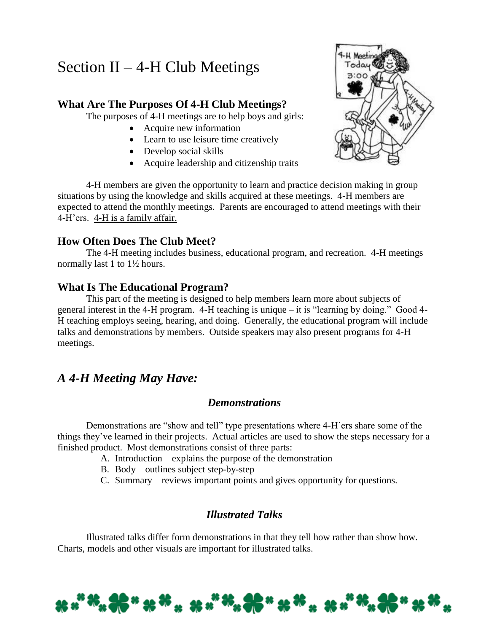# Section II – 4-H Club Meetings

## **What Are The Purposes Of 4-H Club Meetings?**

The purposes of 4-H meetings are to help boys and girls:

- Acquire new information
- Learn to use leisure time creatively
- Develop social skills
- Acquire leadership and citizenship traits



4-H members are given the opportunity to learn and practice decision making in group situations by using the knowledge and skills acquired at these meetings. 4-H members are expected to attend the monthly meetings. Parents are encouraged to attend meetings with their 4-H'ers. 4-H is a family affair.

## **How Often Does The Club Meet?**

The 4-H meeting includes business, educational program, and recreation. 4-H meetings normally last 1 to 1½ hours.

### **What Is The Educational Program?**

This part of the meeting is designed to help members learn more about subjects of general interest in the 4-H program. 4-H teaching is unique – it is "learning by doing." Good 4- H teaching employs seeing, hearing, and doing. Generally, the educational program will include talks and demonstrations by members. Outside speakers may also present programs for 4-H meetings.

## *A 4-H Meeting May Have:*

## *Demonstrations*

Demonstrations are "show and tell" type presentations where 4-H'ers share some of the things they've learned in their projects. Actual articles are used to show the steps necessary for a finished product. Most demonstrations consist of three parts:

- A. Introduction explains the purpose of the demonstration
- B. Body outlines subject step-by-step
- C. Summary reviews important points and gives opportunity for questions.

## *Illustrated Talks*

Illustrated talks differ form demonstrations in that they tell how rather than show how. Charts, models and other visuals are important for illustrated talks.

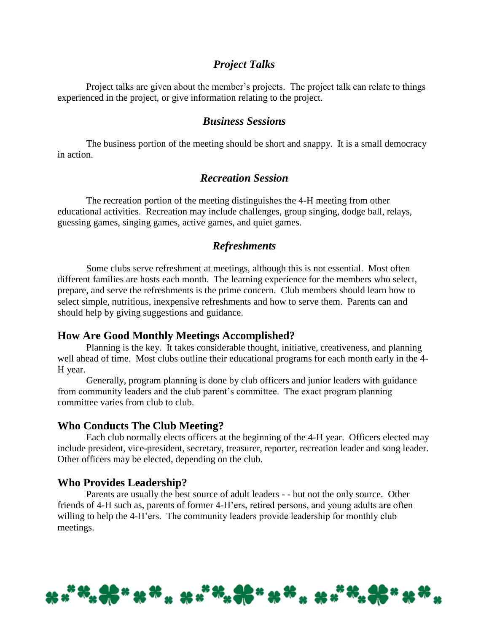#### *Project Talks*

Project talks are given about the member's projects. The project talk can relate to things experienced in the project, or give information relating to the project.

#### *Business Sessions*

The business portion of the meeting should be short and snappy. It is a small democracy in action.

#### *Recreation Session*

The recreation portion of the meeting distinguishes the 4-H meeting from other educational activities. Recreation may include challenges, group singing, dodge ball, relays, guessing games, singing games, active games, and quiet games.

#### *Refreshments*

Some clubs serve refreshment at meetings, although this is not essential. Most often different families are hosts each month. The learning experience for the members who select, prepare, and serve the refreshments is the prime concern. Club members should learn how to select simple, nutritious, inexpensive refreshments and how to serve them. Parents can and should help by giving suggestions and guidance.

#### **How Are Good Monthly Meetings Accomplished?**

Planning is the key. It takes considerable thought, initiative, creativeness, and planning well ahead of time. Most clubs outline their educational programs for each month early in the 4- H year.

Generally, program planning is done by club officers and junior leaders with guidance from community leaders and the club parent's committee. The exact program planning committee varies from club to club.

#### **Who Conducts The Club Meeting?**

Each club normally elects officers at the beginning of the 4-H year. Officers elected may include president, vice-president, secretary, treasurer, reporter, recreation leader and song leader. Other officers may be elected, depending on the club.

#### **Who Provides Leadership?**

Parents are usually the best source of adult leaders - - but not the only source. Other friends of 4-H such as, parents of former 4-H'ers, retired persons, and young adults are often willing to help the 4-H'ers. The community leaders provide leadership for monthly club meetings.

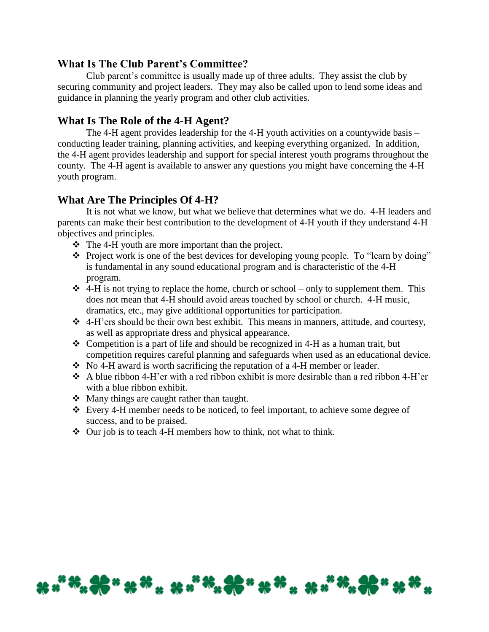#### **What Is The Club Parent's Committee?**

Club parent's committee is usually made up of three adults. They assist the club by securing community and project leaders. They may also be called upon to lend some ideas and guidance in planning the yearly program and other club activities.

## **What Is The Role of the 4-H Agent?**

The 4-H agent provides leadership for the 4-H youth activities on a countywide basis – conducting leader training, planning activities, and keeping everything organized. In addition, the 4-H agent provides leadership and support for special interest youth programs throughout the county. The 4-H agent is available to answer any questions you might have concerning the 4-H youth program.

## **What Are The Principles Of 4-H?**

It is not what we know, but what we believe that determines what we do. 4-H leaders and parents can make their best contribution to the development of 4-H youth if they understand 4-H objectives and principles.

- \* The 4-H youth are more important than the project.
- \* Project work is one of the best devices for developing young people. To "learn by doing" is fundamental in any sound educational program and is characteristic of the 4-H program.
- $\triangleleft$  4-H is not trying to replace the home, church or school only to supplement them. This does not mean that 4-H should avoid areas touched by school or church. 4-H music, dramatics, etc., may give additional opportunities for participation.
- $\triangle$  4-H'ers should be their own best exhibit. This means in manners, attitude, and courtesy, as well as appropriate dress and physical appearance.
- Competition is a part of life and should be recognized in 4-H as a human trait, but competition requires careful planning and safeguards when used as an educational device.
- $\bullet$  No 4-H award is worth sacrificing the reputation of a 4-H member or leader.
- $\triangle$  A blue ribbon 4-H'er with a red ribbon exhibit is more desirable than a red ribbon 4-H'er with a blue ribbon exhibit.
- Many things are caught rather than taught.
- Every 4-H member needs to be noticed, to feel important, to achieve some degree of success, and to be praised.
- $\triangle$  Our job is to teach 4-H members how to think, not what to think.